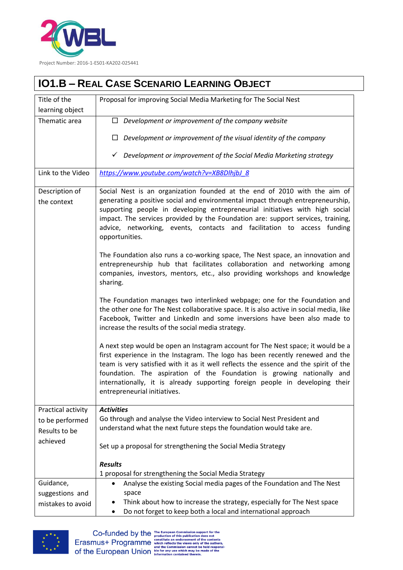

## **IO1.B – REAL CASE SCENARIO LEARNING OBJECT**

| Title of the                  | Proposal for improving Social Media Marketing for The Social Nest                                                                                                                                                                                                                                                                                                                                                                                   |
|-------------------------------|-----------------------------------------------------------------------------------------------------------------------------------------------------------------------------------------------------------------------------------------------------------------------------------------------------------------------------------------------------------------------------------------------------------------------------------------------------|
| learning object               |                                                                                                                                                                                                                                                                                                                                                                                                                                                     |
| Thematic area                 | $\Box$ Development or improvement of the company website                                                                                                                                                                                                                                                                                                                                                                                            |
|                               | Development or improvement of the visual identity of the company                                                                                                                                                                                                                                                                                                                                                                                    |
|                               | $\checkmark$ Development or improvement of the Social Media Marketing strategy                                                                                                                                                                                                                                                                                                                                                                      |
| Link to the Video             | https://www.youtube.com/watch?v=XB8DlhjbJ 8                                                                                                                                                                                                                                                                                                                                                                                                         |
| Description of<br>the context | Social Nest is an organization founded at the end of 2010 with the aim of<br>generating a positive social and environmental impact through entrepreneurship,<br>supporting people in developing entrepreneurial initiatives with high social<br>impact. The services provided by the Foundation are: support services, training,<br>advice, networking, events, contacts and facilitation to access funding<br>opportunities.                       |
|                               | The Foundation also runs a co-working space, The Nest space, an innovation and<br>entrepreneurship hub that facilitates collaboration and networking among<br>companies, investors, mentors, etc., also providing workshops and knowledge<br>sharing.                                                                                                                                                                                               |
|                               | The Foundation manages two interlinked webpage; one for the Foundation and<br>the other one for The Nest collaborative space. It is also active in social media, like<br>Facebook, Twitter and LinkedIn and some inversions have been also made to<br>increase the results of the social media strategy.                                                                                                                                            |
|                               | A next step would be open an Instagram account for The Nest space; it would be a<br>first experience in the Instagram. The logo has been recently renewed and the<br>team is very satisfied with it as it well reflects the essence and the spirit of the<br>foundation. The aspiration of the Foundation is growing nationally and<br>internationally, it is already supporting foreign people in developing their<br>entrepreneurial initiatives. |
| Practical activity            | <b>Activities</b>                                                                                                                                                                                                                                                                                                                                                                                                                                   |
| to be performed               | Go through and analyse the Video interview to Social Nest President and                                                                                                                                                                                                                                                                                                                                                                             |
| Results to be                 | understand what the next future steps the foundation would take are.                                                                                                                                                                                                                                                                                                                                                                                |
| achieved                      | Set up a proposal for strengthening the Social Media Strategy                                                                                                                                                                                                                                                                                                                                                                                       |
|                               | <b>Results</b>                                                                                                                                                                                                                                                                                                                                                                                                                                      |
|                               | 1 proposal for strengthening the Social Media Strategy                                                                                                                                                                                                                                                                                                                                                                                              |
| Guidance,                     | Analyse the existing Social media pages of the Foundation and The Nest                                                                                                                                                                                                                                                                                                                                                                              |
| suggestions and               | space                                                                                                                                                                                                                                                                                                                                                                                                                                               |
| mistakes to avoid             | Think about how to increase the strategy, especially for The Nest space                                                                                                                                                                                                                                                                                                                                                                             |
|                               | Do not forget to keep both a local and international approach<br>٠                                                                                                                                                                                                                                                                                                                                                                                  |